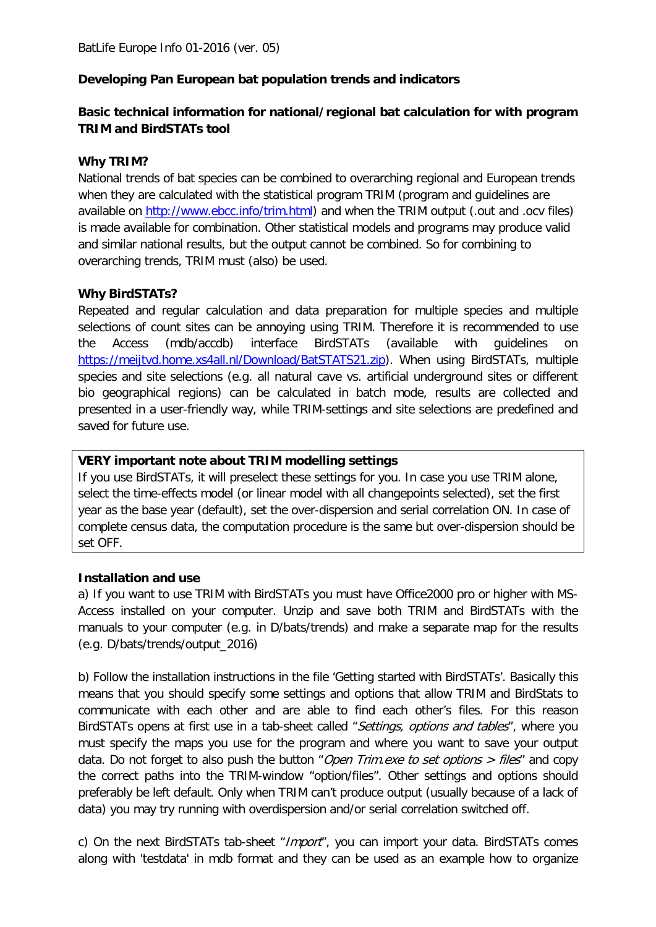## **Developing Pan European bat population trends and indicators**

## **Basic technical information for national/regional bat calculation for with program TRIM and BirdSTATs tool**

#### **Why TRIM?**

National trends of bat species can be combined to overarching regional and European trends when they are calculated with the statistical program TRIM (program and guidelines are available on [http://www.ebcc.info/trim.html\)](http://www.ebcc.info/trim.html) and when the TRIM output (.out and .ocv files) is made available for combination. Other statistical models and programs may produce valid and similar national results, but the output cannot be combined. So for combining to overarching trends, TRIM must (also) be used.

#### **Why BirdSTATs?**

Repeated and regular calculation and data preparation for multiple species and multiple selections of count sites can be annoying using TRIM. Therefore it is recommended to use the Access (mdb/accdb) interface BirdSTATs (available with guidelines on [https://meijtvd.home.xs4all.nl/Download/BatSTATS21.zip\)](https://meijtvd.home.xs4all.nl/Download/BatSTATS21.zip). When using BirdSTATs, multiple species and site selections (e.g. all natural cave vs. artificial underground sites or different bio geographical regions) can be calculated in batch mode, results are collected and presented in a user-friendly way, while TRIM-settings and site selections are predefined and saved for future use.

## **VERY important note about TRIM modelling settings**

If you use BirdSTATs, it will preselect these settings for you. In case you use TRIM alone, select the time-effects model (or linear model with all changepoints selected), set the first year as the base year (default), set the over-dispersion and serial correlation ON. In case of complete census data, the computation procedure is the same but over-dispersion should be set OFF.

## **Installation and use**

a) If you want to use TRIM with BirdSTATs you must have Office2000 pro or higher with MS-Access installed on your computer. Unzip and save both TRIM and BirdSTATs with the manuals to your computer (e.g. in D/bats/trends) and make a separate map for the results (e.g. D/bats/trends/output\_2016)

b) Follow the installation instructions in the file 'Getting started with BirdSTATs'. Basically this means that you should specify some settings and options that allow TRIM and BirdStats to communicate with each other and are able to find each other's files. For this reason BirdSTATs opens at first use in a tab-sheet called "Settings, options and tables", where you must specify the maps you use for the program and where you want to save your output data. Do not forget to also push the button "*Open Trim.exe to set options > files*" and copy the correct paths into the TRIM-window "option/files". Other settings and options should preferably be left default. Only when TRIM can't produce output (usually because of a lack of data) you may try running with overdispersion and/or serial correlation switched off.

c) On the next BirdSTATs tab-sheet "Import", you can import your data. BirdSTATs comes along with 'testdata' in mdb format and they can be used as an example how to organize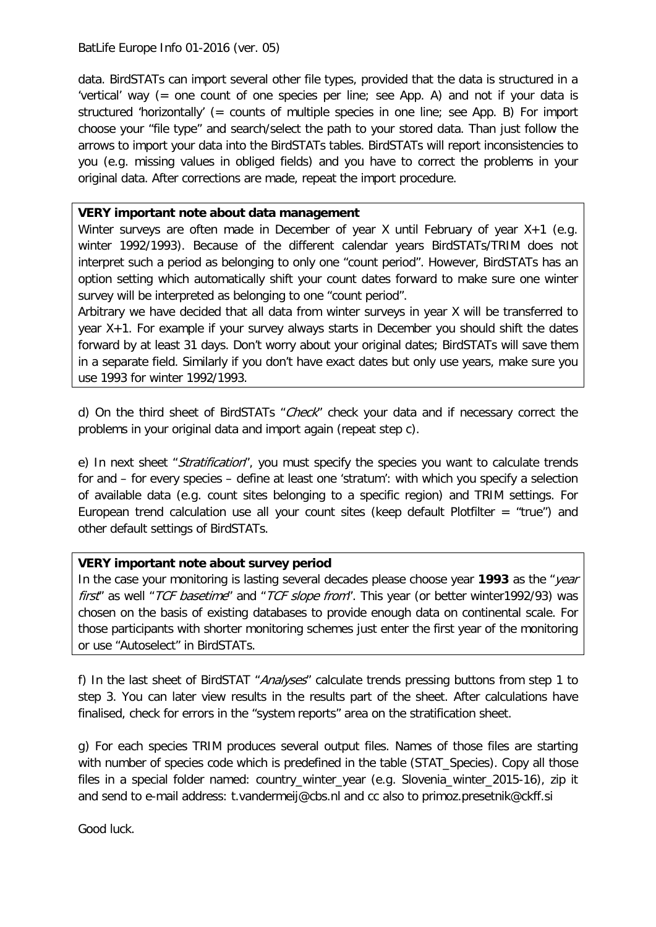BatLife Europe Info 01-2016 (ver. 05)

data. BirdSTATs can import several other file types, provided that the data is structured in a 'vertical' way (= one count of one species per line; see App. A) and not if your data is structured 'horizontally' (= counts of multiple species in one line; see App. B) For import choose your "file type" and search/select the path to your stored data. Than just follow the arrows to import your data into the BirdSTATs tables. BirdSTATs will report inconsistencies to you (e.g. missing values in obliged fields) and you have to correct the problems in your original data. After corrections are made, repeat the import procedure.

#### **VERY important note about data management**

Winter surveys are often made in December of year X until February of year X+1 (e.g. winter 1992/1993). Because of the different calendar years BirdSTATs/TRIM does not interpret such a period as belonging to only one "count period". However, BirdSTATs has an option setting which automatically shift your count dates forward to make sure one winter survey will be interpreted as belonging to one "count period".

Arbitrary we have decided that all data from winter surveys in year X will be transferred to year X+1. For example if your survey always starts in December you should shift the dates forward by at least 31 days. Don't worry about your original dates; BirdSTATs will save them in a separate field. Similarly if you don't have exact dates but only use years, make sure you use 1993 for winter 1992/1993.

d) On the third sheet of BirdSTATs "Check" check your data and if necessary correct the problems in your original data and import again (repeat step c).

e) In next sheet "Stratification", you must specify the species you want to calculate trends for and – for every species – define at least one 'stratum': with which you specify a selection of available data (e.g. count sites belonging to a specific region) and TRIM settings. For European trend calculation use all your count sites (keep default Plotfilter = "true") and other default settings of BirdSTATs.

## **VERY important note about survey period**

In the case your monitoring is lasting several decades please choose year **1993** as the "year first" as well "TCF basetime" and "TCF slope from". This year (or better winter1992/93) was chosen on the basis of existing databases to provide enough data on continental scale. For those participants with shorter monitoring schemes just enter the first year of the monitoring or use "Autoselect" in BirdSTATs.

f) In the last sheet of BirdSTAT "Analyses" calculate trends pressing buttons from step 1 to step 3. You can later view results in the results part of the sheet. After calculations have finalised, check for errors in the "system reports" area on the stratification sheet.

g) For each species TRIM produces several output files. Names of those files are starting with number of species code which is predefined in the table (STAT\_Species). Copy all those files in a special folder named: country\_winter\_year (e.g. Slovenia\_winter\_2015-16), zip it and send to e-mail address: t.vandermeij@cbs.nl and cc also to primoz.presetnik@ckff.si

Good luck.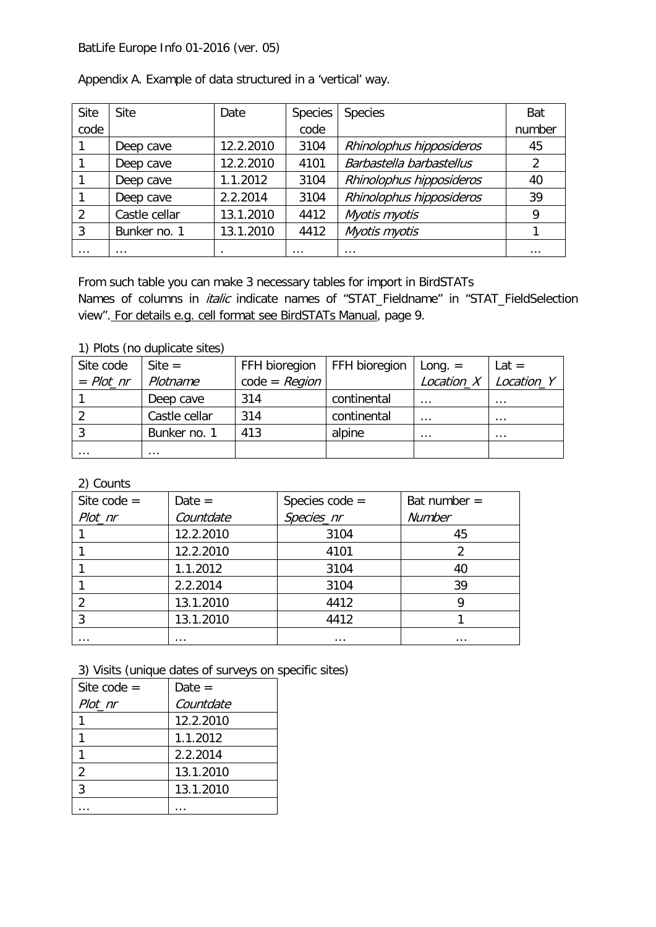#### BatLife Europe Info 01-2016 (ver. 05)

| Site          | <b>Site</b>   | Date      | <b>Species</b> | <b>Species</b>           | Bat            |
|---------------|---------------|-----------|----------------|--------------------------|----------------|
| code          |               |           | code           |                          | number         |
|               | Deep cave     | 12.2.2010 | 3104           | Rhinolophus hipposideros | 45             |
|               | Deep cave     | 12.2.2010 | 4101           | Barbastella barbastellus | $\overline{2}$ |
|               | Deep cave     | 1.1.2012  | 3104           | Rhinolophus hipposideros | 40             |
|               | Deep cave     | 2.2.2014  | 3104           | Rhinolophus hipposideros | 39             |
| $\mathcal{P}$ | Castle cellar | 13.1.2010 | 4412           | Myotis myotis            | 9              |
| 3             | Bunker no. 1  | 13.1.2010 | 4412           | Myotis myotis            |                |
| $\cdots$      | $\cdots$      | $\cdot$   | $\cdots$       | $\cdots$                 | $\cdots$       |

| Appendix A. Example of data structured in a 'vertical' way. |  |  |  |
|-------------------------------------------------------------|--|--|--|
|                                                             |  |  |  |

From such table you can make 3 necessary tables for import in BirdSTATs Names of columns in *italic* indicate names of "STAT\_Fieldname" in "STAT\_FieldSelection view". For details e.g. cell format see BirdSTATs Manual, page 9.

1) Plots (no duplicate sites)

| Site code   | $\text{Site} =$ | FFH bioregion   FFH bioregion |             | $Long. =$  | $Lat =$               |
|-------------|-----------------|-------------------------------|-------------|------------|-----------------------|
| $=$ Plot_nr | Plotname        | $code = Region$               |             | Location_X | Location <sub>Y</sub> |
|             | Deep cave       | 314                           | continental | $\cdots$   | $\cdots$              |
|             | Castle cellar   | 314                           | continental | $\cdots$   | $\cdots$              |
|             | Bunker no. 1    | 413                           | alpine      | $\cdots$   | $\cdots$              |
| $\cdots$    | $\cdots$        |                               |             |            |                       |

2) Counts

| Site code $=$ | $Date =$  | Species $code =$ | Bat number $=$ |
|---------------|-----------|------------------|----------------|
| Plot_nr       | Countdate | Species_nr       | <b>Number</b>  |
|               | 12.2.2010 | 3104             | 45             |
|               | 12.2.2010 | 4101             | $\overline{2}$ |
|               | 1.1.2012  | 3104             | 40             |
|               | 2.2.2014  | 3104             | 39             |
|               | 13.1.2010 | 4412             | Q              |
|               | 13.1.2010 | 4412             |                |
| $\cdots$      | $\cdots$  | $\cdots$         | $\cdots$       |

3) Visits (unique dates of surveys on specific sites)

| Site code $=$  | Date $=$  |
|----------------|-----------|
| Plot_nr        | Countdate |
|                | 12.2.2010 |
|                | 1.1.2012  |
|                | 2.2.2014  |
| $\overline{2}$ | 13.1.2010 |
| 3              | 13.1.2010 |
|                |           |